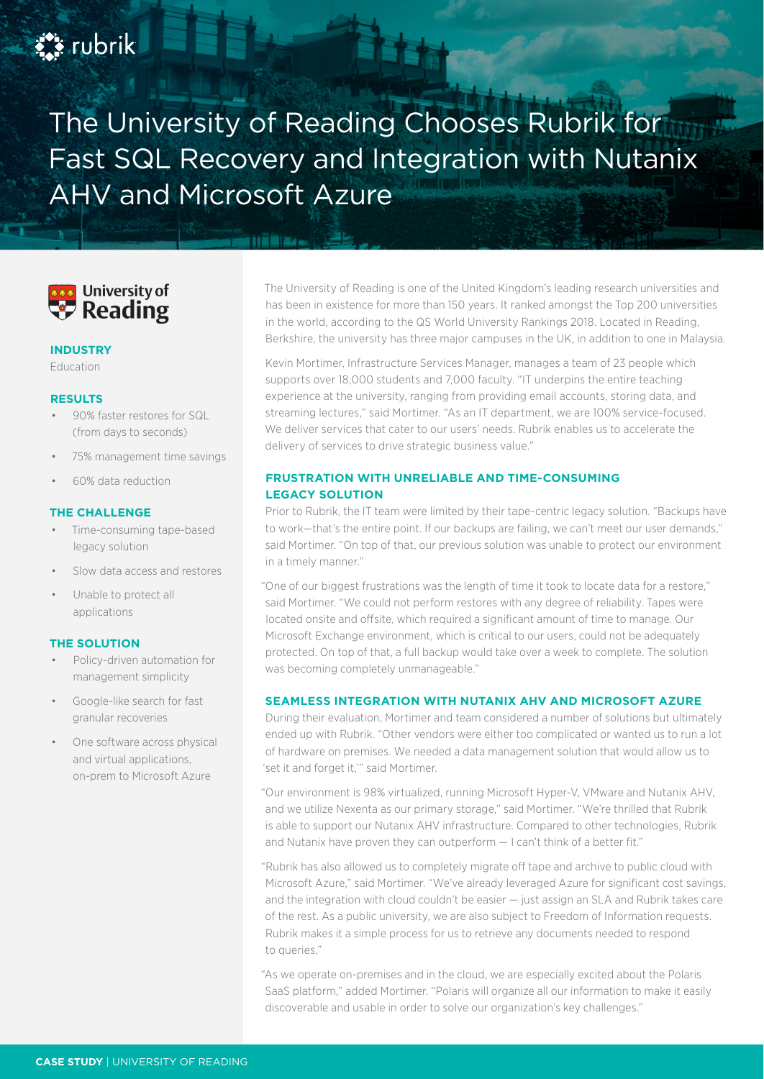# **Ext** rubrik

The University of Reading Chooses Rubrik for Fast SQL Recovery and Integration with Nutanix AHV and Microsoft Azure



## **INDUSTRY**

Education

## **RESULTS**

- 90% faster restores for SQL (from days to seconds)
- 75% management time savings
- 60% data reduction

# **THE CHALLENGE**

- Time-consuming tape-based legacy solution
- Slow data access and restores
- Unable to protect all applications

#### **THE SOLUTION**

- Policy-driven automation for management simplicity
- Google-like search for fast granular recoveries
- One software across physical and virtual applications, on-prem to Microsoft Azure

The University of Reading is one of the United Kingdom's leading research universities and has been in existence for more than 150 years. It ranked amongst the Top 200 universities in the world, according to the QS World University Rankings 2018. Located in Reading, Berkshire, the university has three major campuses in the UK, in addition to one in Malaysia.

Kevin Mortimer, Infrastructure Services Manager, manages a team of 23 people which supports over 18,000 students and 7,000 faculty. "IT underpins the entire teaching experience at the university, ranging from providing email accounts, storing data, and streaming lectures," said Mortimer. "As an IT department, we are 100% service-focused. We deliver services that cater to our users' needs. Rubrik enables us to accelerate the delivery of services to drive strategic business value."

# **FRUSTRATION WITH UNRELIABLE AND TIME-CONSUMING LEGACY SOLUTION**

Prior to Rubrik, the IT team were limited by their tape-centric legacy solution. "Backups have to work—that's the entire point. If our backups are failing, we can't meet our user demands," said Mortimer. "On top of that, our previous solution was unable to protect our environment in a timely manner."

"One of our biggest frustrations was the length of time it took to locate data for a restore," said Mortimer. "We could not perform restores with any degree of reliability. Tapes were located onsite and offsite, which required a significant amount of time to manage. Our Microsoft Exchange environment, which is critical to our users, could not be adequately protected. On top of that, a full backup would take over a week to complete. The solution was becoming completely unmanageable."

#### **SEAMLESS INTEGRATION WITH NUTANIX AHV AND MICROSOFT AZURE**

During their evaluation, Mortimer and team considered a number of solutions but ultimately ended up with Rubrik. "Other vendors were either too complicated or wanted us to run a lot of hardware on premises. We needed a data management solution that would allow us to 'set it and forget it,'" said Mortimer.

"Our environment is 98% virtualized, running Microsoft Hyper-V, VMware and Nutanix AHV, and we utilize Nexenta as our primary storage," said Mortimer. "We're thrilled that Rubrik is able to support our Nutanix AHV infrastructure. Compared to other technologies, Rubrik and Nutanix have proven they can outperform — I can't think of a better fit."

"Rubrik has also allowed us to completely migrate off tape and archive to public cloud with Microsoft Azure," said Mortimer. "We've already leveraged Azure for significant cost savings, and the integration with cloud couldn't be easier — just assign an SLA and Rubrik takes care of the rest. As a public university, we are also subject to Freedom of Information requests. Rubrik makes it a simple process for us to retrieve any documents needed to respond to queries."

"As we operate on-premises and in the cloud, we are especially excited about the Polaris SaaS platform," added Mortimer. "Polaris will organize all our information to make it easily discoverable and usable in order to solve our organization's key challenges."